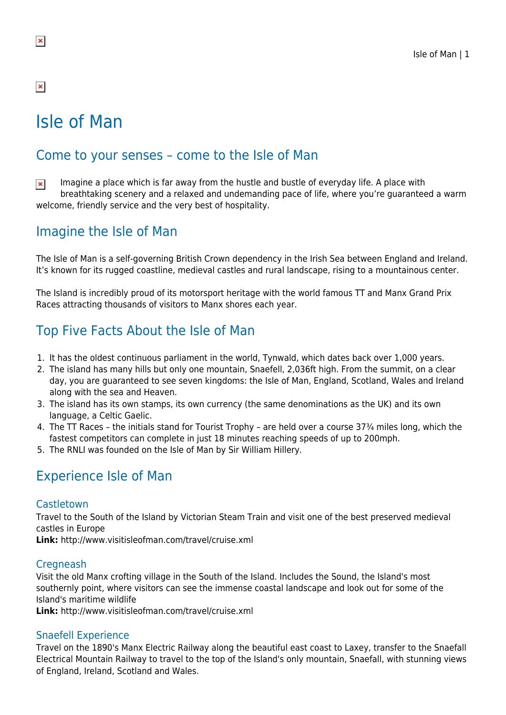### $\pmb{\times}$

# Isle of Man

### Come to your senses – come to the Isle of Man

Imagine a place which is far away from the hustle and bustle of everyday life. A place with  $\pmb{\times}$ breathtaking scenery and a relaxed and undemanding pace of life, where you're guaranteed a warm welcome, friendly service and the very best of hospitality.

### Imagine the Isle of Man

The Isle of Man is a self-governing British Crown dependency in the Irish Sea between England and Ireland. It's known for its rugged coastline, medieval castles and rural landscape, rising to a mountainous center.

The Island is incredibly proud of its motorsport heritage with the world famous TT and Manx Grand Prix Races attracting thousands of visitors to Manx shores each year.

# Top Five Facts About the Isle of Man

- 1. It has the oldest continuous parliament in the world, Tynwald, which dates back over 1,000 years.
- 2. The island has many hills but only one mountain, Snaefell, 2,036ft high. From the summit, on a clear day, you are guaranteed to see seven kingdoms: the Isle of Man, England, Scotland, Wales and Ireland along with the sea and Heaven.
- 3. The island has its own stamps, its own currency (the same denominations as the UK) and its own language, a Celtic Gaelic.
- 4. The TT Races the initials stand for Tourist Trophy are held over a course 37¾ miles long, which the fastest competitors can complete in just 18 minutes reaching speeds of up to 200mph.
- 5. The RNLI was founded on the Isle of Man by Sir William Hillery.

### Experience Isle of Man

#### Castletown

Travel to the South of the Island by Victorian Steam Train and visit one of the best preserved medieval castles in Europe

**Link:** http://www.visitisleofman.com/travel/cruise.xml

#### **Cregneash**

Visit the old Manx crofting village in the South of the Island. Includes the Sound, the Island's most southernly point, where visitors can see the immense coastal landscape and look out for some of the Island's maritime wildlife

**Link:** http://www.visitisleofman.com/travel/cruise.xml

#### Snaefell Experience

Travel on the 1890's Manx Electric Railway along the beautiful east coast to Laxey, transfer to the Snaefall Electrical Mountain Railway to travel to the top of the Island's only mountain, Snaefall, with stunning views of England, Ireland, Scotland and Wales.

 $\pmb{\times}$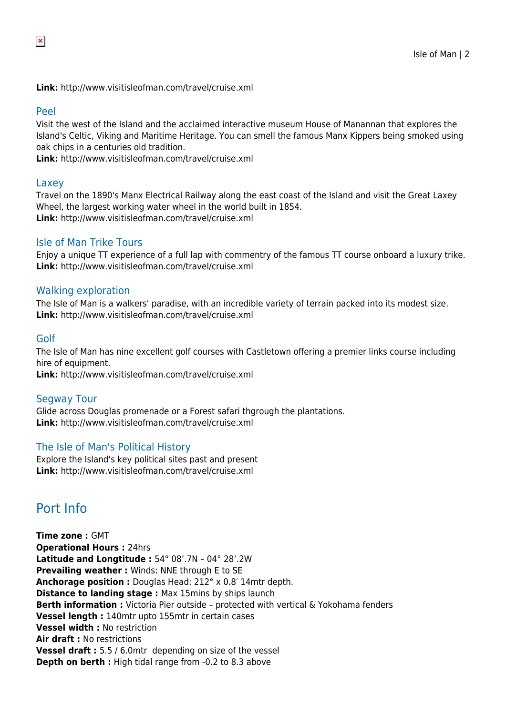**Link:** http://www.visitisleofman.com/travel/cruise.xml

#### Peel

Visit the west of the Island and the acclaimed interactive museum House of Manannan that explores the Island's Celtic, Viking and Maritime Heritage. You can smell the famous Manx Kippers being smoked using oak chips in a centuries old tradition.

**Link:** http://www.visitisleofman.com/travel/cruise.xml

#### Laxey

Travel on the 1890's Manx Electrical Railway along the east coast of the Island and visit the Great Laxey Wheel, the largest working water wheel in the world built in 1854. **Link:** http://www.visitisleofman.com/travel/cruise.xml

#### Isle of Man Trike Tours

Enjoy a unique TT experience of a full lap with commentry of the famous TT course onboard a luxury trike. **Link:** http://www.visitisleofman.com/travel/cruise.xml

#### Walking exploration

The Isle of Man is a walkers' paradise, with an incredible variety of terrain packed into its modest size. **Link:** http://www.visitisleofman.com/travel/cruise.xml

#### Golf

The Isle of Man has nine excellent golf courses with Castletown offering a premier links course including hire of equipment.

**Link:** http://www.visitisleofman.com/travel/cruise.xml

#### Segway Tour

Glide across Douglas promenade or a Forest safari thgrough the plantations. **Link:** http://www.visitisleofman.com/travel/cruise.xml

#### The Isle of Man's Political History

Explore the Island's key political sites past and present **Link:** http://www.visitisleofman.com/travel/cruise.xml

### Port Info

**Time zone :** GMT **Operational Hours :** 24hrs **Latitude and Longtitude :** 54° 08'.7N – 04° 28'.2W **Prevailing weather :** Winds: NNE through E to SE **Anchorage position :** Douglas Head: 212° x 0.8′ 14mtr depth. **Distance to landing stage: Max 15mins by ships launch Berth information :** Victoria Pier outside – protected with vertical & Yokohama fenders **Vessel length :** 140mtr upto 155mtr in certain cases **Vessel width :** No restriction **Air draft :** No restrictions **Vessel draft :** 5.5 / 6.0mtr depending on size of the vessel **Depth on berth :** High tidal range from -0.2 to 8.3 above